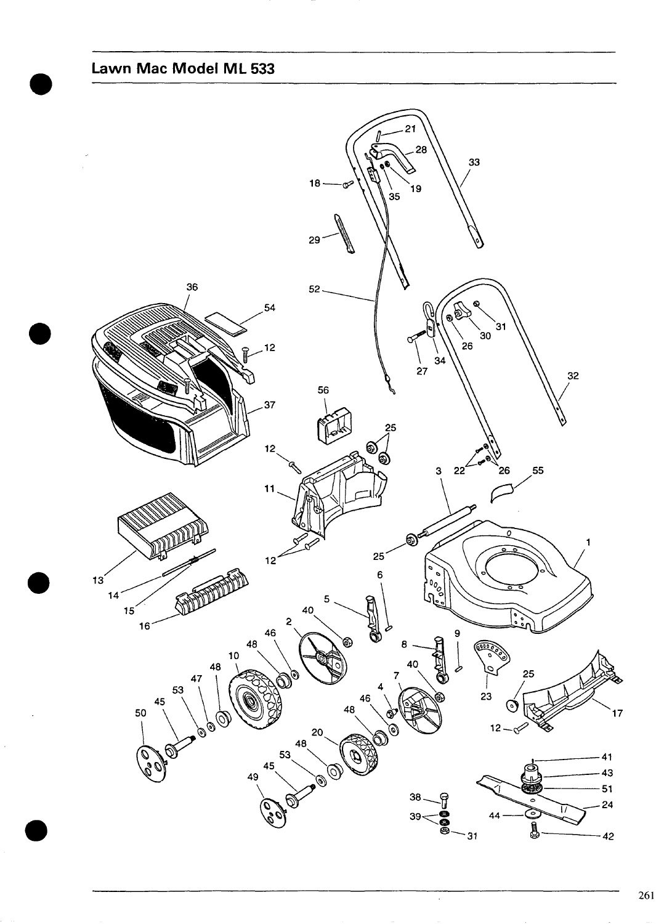Lawn Mac Model ML 533

<span id="page-0-0"></span>

 $\ddot{\phantom{0}}$